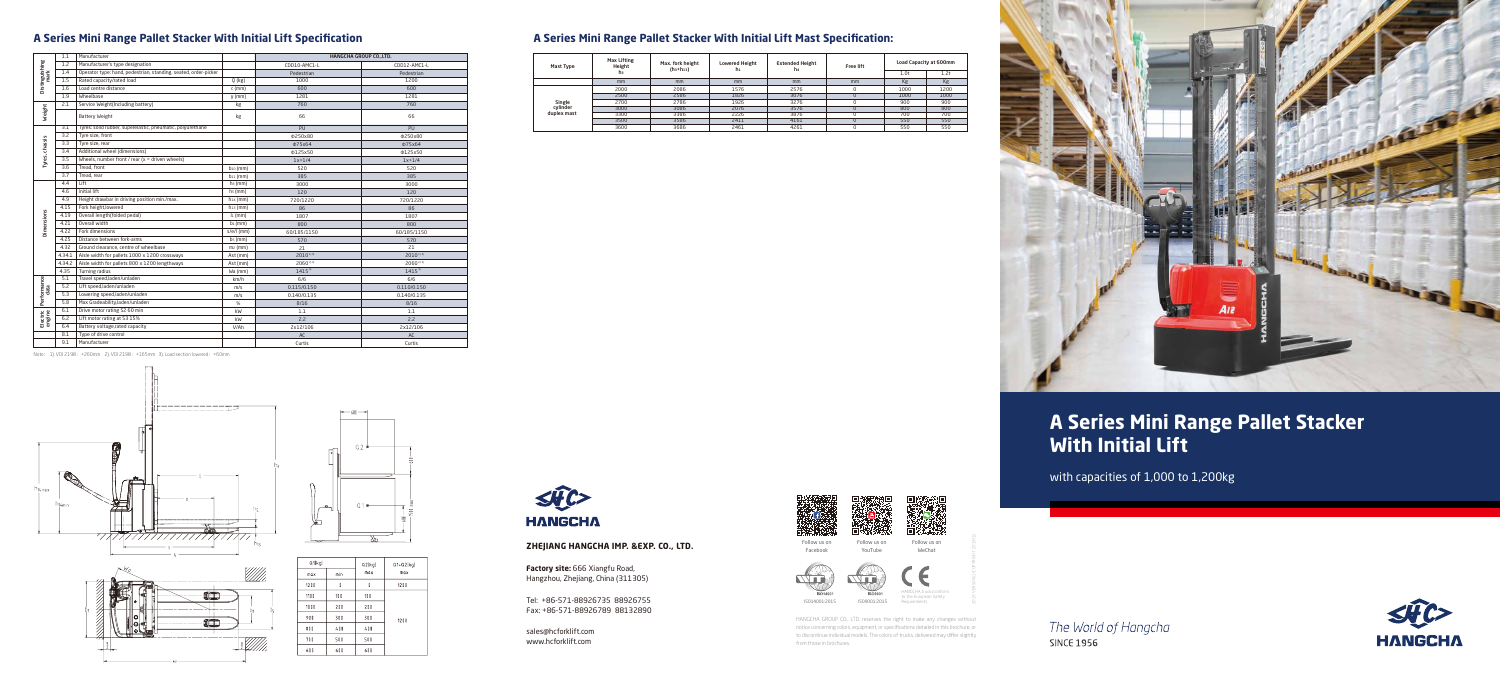#### **A Series Mini Range Pallet Stacker With Initial Lift Specification**

Note: 1). VDI 2198:+260mm 2). VDI 2198:+165mm 3). Load section lowered:+60mm







| Q1(kq) |     | Q2(kq) | $Q1+Q2(kq)$ |  |
|--------|-----|--------|-------------|--|
| max    | min | max    | max         |  |
| 1200   | 0   | 0      | 1200        |  |
| 1100   | 100 | 100    |             |  |
| 1000   | 200 | 200    |             |  |
| 900    | 300 | 300    | 1200        |  |
| 800    | 400 | 400    |             |  |
| 700    | 500 | 500    |             |  |
| 600    | 600 | 600    |             |  |
|        |     |        |             |  |



### **A Series Mini Range Pallet Stacker With Initial Lift Mast Specification:**

| Mast Type                         | <b>Max Lifting</b><br>Height<br>hз | Max. fork height<br>$(h_3 + h_{13})$ | <b>Lowered Height</b><br>h1 | <b>Extended Height</b><br>h4 | <b>Free lift</b> | 1.0 <sub>t</sub> | Load Capacity at 600mm<br>1.2t |
|-----------------------------------|------------------------------------|--------------------------------------|-----------------------------|------------------------------|------------------|------------------|--------------------------------|
|                                   | mm                                 | mm                                   | mm                          | mm                           | mm               | Kg               | Kg                             |
| Single<br>cvlinder<br>duplex mast | 2000                               | 2086                                 | 1576                        | 2576                         |                  | 1000             | 1200                           |
|                                   | 2500                               | 2586                                 | 1826                        | 3076                         |                  | 1000             | 1000                           |
|                                   | 2700                               | 2786                                 | 1926                        | 3276                         |                  | 900              | 900                            |
|                                   | 3000                               | 3086                                 | 2076                        | 3576                         |                  | 800              | 800                            |
|                                   | 3300                               | 3386                                 | 2226                        | 3876                         |                  | 700              | 700                            |
|                                   | 3500                               | 3586                                 | 2411                        | 4161                         |                  | 550              | 550                            |
|                                   | 3600                               | 3686                                 | 2461                        | 4261                         |                  | 550              | 550                            |

**Factory site:** 666 Xiangfu Road, Hangzhou, Zhejiang, China (311305)

#### **ZHEJIANG HANGCHA IMP. &EXP. CO., LTD.**

sales@hcforklift.com www.hcforklift.com



Tel: +86-571-88926735 88926755 Fax: +86-571-88926789 88132890

HANGCHA GROUP CO., LTD. reserves the right to make any changes without notice concerning colors, equipment, or specifications detailed in this brochure, or to discontinue individual models. The colors of trucks, delivered may differ slightly from those in brochures.



2019 VERSION 1/COPYRIGHT 2019/12

The World of Hangcha **SINCE 1956** 



|                        | 1.1    | Manufacturer                                                    |                       | HANGCHA GROUP CO., LTD. |              |
|------------------------|--------|-----------------------------------------------------------------|-----------------------|-------------------------|--------------|
| Distinguishing<br>mark | 1.2    | Manufacturer's type designation                                 |                       | CDD10-AMC1-L            | CDD12-AMC1-L |
|                        | 1.4    | Operator type: hand, pedestrian, standing, seated, order-picker |                       | Pedestrian              | Pedestrian   |
|                        | 1.5    | Rated capacity/rated load                                       | $Q$ (kg)              | 1000                    | 1200         |
|                        | 1.6    | Load centre distance                                            | $c$ (mm)              | 600                     | 600          |
|                        | 1.9    | Wheelbase                                                       | $y$ (mm)              | 1281                    | 1281         |
| Weight                 | 2.1    | Service Weight(Including battery)                               | kg                    | 760                     | 760          |
|                        |        | <b>Battery Weight</b>                                           | kg                    | 66                      | 66           |
|                        | 3.1    | Tyres: solid rubber, superelastic, pneumatic, polyurethane      |                       | PU                      | PU           |
|                        | 3.2    | Tyre size, front                                                |                       | Φ250x80                 | Φ250x80      |
|                        | 3.3    | Tyre size, rear                                                 |                       | Φ75x64                  | Φ75x64       |
| Tyres, chassis         | 3.4    | Additional wheel (dimensions)                                   |                       | Φ125x50                 | Φ125x50      |
|                        | 3.5    | Wheels, number front / rear ( $x =$ driven wheels)              |                       | $1x+1/4$                | $1x+1/4$     |
|                        | 3.6    | Tread, front                                                    | $b_{10}$ (mm)         | 520                     | 520          |
|                        | 3.7    | Tread, rear                                                     | $b_{11}$ (mm)         | 385                     | 385          |
|                        | 4.4    | Lift                                                            | $h$ <sub>3</sub> (mm) | 3000                    | 3000         |
|                        | 4.6    | initial lift                                                    | hs(mm)                | 120                     | 120          |
|                        | 4.9    | Height drawbar in driving position min./max.                    | $h_{14}$ (mm)         | 720/1220                | 720/1220     |
|                        | 4.15   | Fork height, lowered                                            | $h_{13}$ (mm)         | 86                      | 86           |
| Dimensions             | 4.19   | Overall length(folded pedal)                                    | $l_1$ (mm)            | 1807                    | 1807         |
|                        | 4.21   | Overall width                                                   | $b_1$ (mm)            | 800                     | 800          |
|                        | 4.22   | Fork dimensions                                                 | s/e/l (mm)            | 60/185/1150             | 60/185/1150  |
|                        | 4.25   | Distance between fork-arms                                      | $b5$ (mm)             | 570                     | 570          |
|                        | 4.32   | Ground clearance, centre of wheelbase                           | $m2$ (mm)             | 21                      | 21           |
|                        | 4.34.1 | Aisle width for pallets 1000 x 1200 crossways                   | Ast (mm)              | $2010^{13}$             | $2010^{13}$  |
|                        | 4.34.2 | Aisle width for pallets 800 x 1200 lengthways                   | Ast (mm)              | 2060 <sup>2) 3)</sup>   | $2060^{23}$  |
|                        | 4.35   | Turning radius                                                  | Wa (mm)               | $1415^{3}$              | $1415^{3}$   |
|                        | 5.1    | Travel speed,laden/unladen                                      | km/h                  | 6/6                     | 6/6          |
| Performance<br>data    | 5.2    | Lift speed,laden/unladen                                        | m/s                   | 0.115/0.150             | 0.110/0.150  |
|                        | 5.3    | Lowering speed,laden/unladen                                    | m/s                   | 0.140/0.135             | 0.140/0.135  |
|                        | 5.8    | Max Gradeability, laden/unladen                                 | %                     | 8/16                    | 8/16         |
| Electric<br>engine     | 6.1    | Drive motor rating S2 60 min                                    | kW                    | $1.1\,$                 | 1.1          |
|                        | 6.2    | Lift motor rating at S3 15%                                     | kW                    | 2.2                     | 2.2          |
|                        | 6.4    | Battery voltage, rated capacity                                 | V/Ah                  | 2x12/106                | 2x12/106     |
|                        | 8.1    | Type of drive control                                           |                       | AC                      | AC           |
|                        | 9.1    | Manufacturer                                                    |                       | Curtis                  | Curtis       |

## **A Series Mini Range Pallet Stacker With Initial Lift**

with capacities of 1,000 to 1,200kg